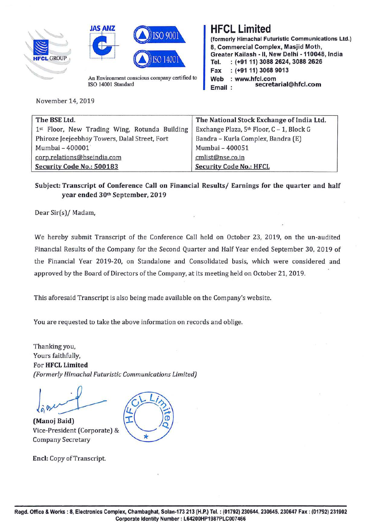





An Environment conscious company certified to ISO 14001 Standard

November 14, 2019

## HFCL Limited

**(formerly Himachal Futuristic Communications Ltd.) 8, Commercial Complex, Masjid Moth, Greater Kailash -11, New Delhi -110048, India**  Tel. : **(+91 11) 3088 2624, 3088 2626 Fax** : **(+91 11) 3068 9013 Web** : **www.hfcl.com Email: secretarial@hfcl.com** 

| The BSE Ltd.                                  | The National Stock Exchange of India Ltd. |
|-----------------------------------------------|-------------------------------------------|
| 1st Floor, New Trading Wing, Rotunda Building | Exchange Plaza, 5th Floor, C - 1, Block G |
| Phiroze Jeejeebhoy Towers, Dalal Street, Fort | Bandra - Kurla Complex, Bandra (E)        |
| Mumbai - 400001                               | Mumbai - 400051                           |
| corp.relations@bseindia.com                   | cmlist@nse.co.in                          |
| Security Code No.: 500183                     | <b>Security Code No.: HFCL</b>            |

## **Subject: Transcript of Conference Call on Financial Results/ Earnings for the quarter and half year ended 30th September, 2019**

Dear Sir(s)/ Madam,

We hereby submit Transcript of the Conference Call held on October 23, 2019, on the un-audited Financial Results of the Company for the Second Quarter and Half Year ended September 30, 2019 of the Financial Year 2019-20, on Standalone and Consolidated basis, which were considered and approved by the Board of Directors of the Company, at its meeting held on October 21, 2019.

This aforesaid Transcript is also being made available on the Company's website.

You are requested to take the above information on records and oblige.

Thanking you, Yours faithfully, For **HFCL Limited**  *(Formerly Himachal Futuristic Communications Limited)* 

**(Manoj Baid)**  Vice-President (Corporate) & Company Secretary

**Encl:** Copy of Transcript.

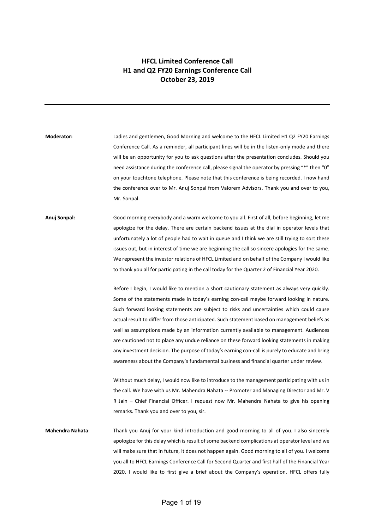## **HFCL Limited Conference Call H1 and Q2 FY20 Earnings Conference Call October 23, 2019**

**Moderator:** Ladies and gentlemen, Good Morning and welcome to the HFCL Limited H1 Q2 FY20 Earnings Conference Call. As a reminder, all participant lines will be in the listen-only mode and there will be an opportunity for you to ask questions after the presentation concludes. Should you need assistance during the conference call, please signal the operator by pressing "\*" then "0" on your touchtone telephone. Please note that this conference is being recorded. I now hand the conference over to Mr. Anuj Sonpal from Valorem Advisors. Thank you and over to you, Mr. Sonpal.

**Anuj Sonpal:** Good morning everybody and a warm welcome to you all. First of all, before beginning, let me apologize for the delay. There are certain backend issues at the dial in operator levels that unfortunately a lot of people had to wait in queue and I think we are still trying to sort these issues out, but in interest of time we are beginning the call so sincere apologies for the same. We represent the investor relations of HFCL Limited and on behalf of the Company I would like to thank you all for participating in the call today for the Quarter 2 of Financial Year 2020.

> Before I begin, I would like to mention a short cautionary statement as always very quickly. Some of the statements made in today's earning con-call maybe forward looking in nature. Such forward looking statements are subject to risks and uncertainties which could cause actual result to differ from those anticipated. Such statement based on management beliefs as well as assumptions made by an information currently available to management. Audiences are cautioned not to place any undue reliance on these forward looking statements in making any investment decision. The purpose of today's earning con-call is purely to educate and bring awareness about the Company's fundamental business and financial quarter under review.

> Without much delay, I would now like to introduce to the management participating with us in the call. We have with us Mr. Mahendra Nahata -- Promoter and Managing Director and Mr. V R Jain – Chief Financial Officer. I request now Mr. Mahendra Nahata to give his opening remarks. Thank you and over to you, sir.

**Mahendra Nahata**: Thank you Anuj for your kind introduction and good morning to all of you. I also sincerely apologize for this delay which is result of some backend complications at operator level and we will make sure that in future, it does not happen again. Good morning to all of you. I welcome you all to HFCL Earnings Conference Call for Second Quarter and first half of the Financial Year 2020. I would like to first give a brief about the Company's operation. HFCL offers fully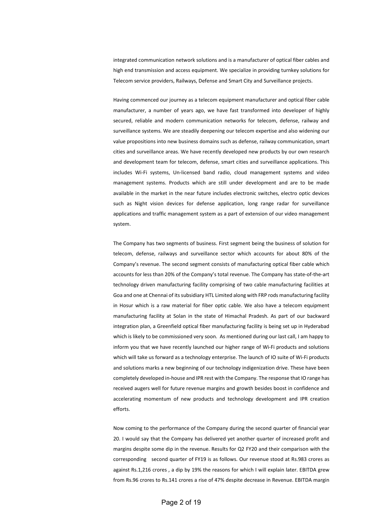integrated communication network solutions and is a manufacturer of optical fiber cables and high end transmission and access equipment. We specialize in providing turnkey solutions for Telecom service providers, Railways, Defense and Smart City and Surveillance projects.

Having commenced our journey as a telecom equipment manufacturer and optical fiber cable manufacturer, a number of years ago, we have fast transformed into developer of highly secured, reliable and modern communication networks for telecom, defense, railway and surveillance systems. We are steadily deepening our telecom expertise and also widening our value propositions into new business domains such as defense, railway communication, smart cities and surveillance areas. We have recently developed new products by our own research and development team for telecom, defense, smart cities and surveillance applications. This includes Wi-Fi systems, Un-licensed band radio, cloud management systems and video management systems. Products which are still under development and are to be made available in the market in the near future includes electronic switches, electro optic devices such as Night vision devices for defense application, long range radar for surveillance applications and traffic management system as a part of extension of our video management system.

The Company has two segments of business. First segment being the business of solution for telecom, defense, railways and surveillance sector which accounts for about 80% of the Company's revenue. The second segment consists of manufacturing optical fiber cable which accounts for less than 20% of the Company's total revenue. The Company has state-of-the-art technology driven manufacturing facility comprising of two cable manufacturing facilities at Goa and one at Chennai of its subsidiary HTL Limited along with FRP rods manufacturing facility in Hosur which is a raw material for fiber optic cable. We also have a telecom equipment manufacturing facility at Solan in the state of Himachal Pradesh. As part of our backward integration plan, a Greenfield optical fiber manufacturing facility is being set up in Hyderabad which is likely to be commissioned very soon. As mentioned during our last call, I am happy to inform you that we have recently launched our higher range of Wi-Fi products and solutions which will take us forward as a technology enterprise. The launch of IO suite of Wi-Fi products and solutions marks a new beginning of our technology indigenization drive. These have been completely developed in-house and IPR rest with the Company. The response that IO range has received augers well for future revenue margins and growth besides boost in confidence and accelerating momentum of new products and technology development and IPR creation efforts.

Now coming to the performance of the Company during the second quarter of financial year 20. I would say that the Company has delivered yet another quarter of increased profit and margins despite some dip in the revenue. Results for Q2 FY20 and their comparison with the corresponding second quarter of FY19 is as follows. Our revenue stood at Rs.983 crores as against Rs.1,216 crores , a dip by 19% the reasons for which I will explain later. EBITDA grew from Rs.96 crores to Rs.141 crores a rise of 47% despite decrease in Revenue. EBITDA margin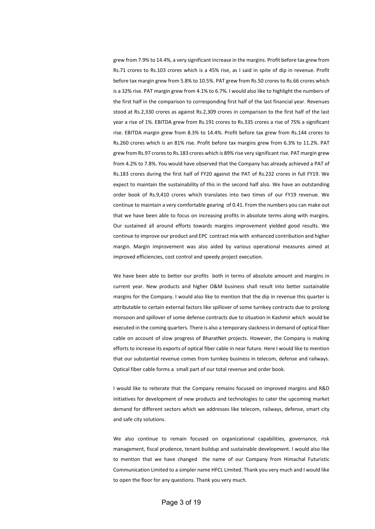grew from 7.9% to 14.4%, a very significant increase in the margins. Profit before tax grew from Rs.71 crores to Rs.103 crores which is a 45% rise, as I said in spite of dip in revenue. Profit before tax margin grew from 5.8% to 10.5%. PAT grew from Rs.50 crores to Rs.66 crores which is a 32% rise. PAT margin grew from 4.1% to 6.7%. I would also like to highlight the numbers of the first half in the comparison to corresponding first half of the last financial year. Revenues stood at Rs.2,330 crores as against Rs.2,309 crores in comparison to the first half of the last year a rise of 1%. EBITDA grew from Rs.191 crores to Rs.335 crores a rise of 75% a significant rise. EBITDA margin grew from 8.3% to 14.4%. Profit before tax grew from Rs.144 crores to Rs.260 crores which is an 81% rise. Profit before tax margins grew from 6.3% to 11.2%. PAT grew from Rs.97 crores to Rs.183 crores which is 89% rise very significant rise. PAT margin grew from 4.2% to 7.8%. You would have observed that the Company has already achieved a PAT of Rs.183 crores during the first half of FY20 against the PAT of Rs.232 crores in full FY19. We expect to maintain the sustainability of this in the second half also. We have an outstanding order book of Rs.9,410 crores which translates into two times of our FY19 revenue. We continue to maintain a very comfortable gearing of 0.41. From the numbers you can make out that we have been able to focus on increasing profits in absolute terms along with margins. Our sustained all around efforts towards margins improvement yielded good results. We continue to improve our product and EPC contract mix with enhanced contribution and higher margin. Margin improvement was also aided by various operational measures aimed at improved efficiencies, cost control and speedy project execution.

We have been able to better our profits both in terms of absolute amount and margins in current year. New products and higher O&M business shall result into better sustainable margins for the Company. I would also like to mention that the dip in revenue this quarter is attributable to certain external factors like spillover of some turnkey contracts due to prolong monsoon and spillover of some defense contracts due to situation in Kashmir which would be executed in the coming quarters. There is also a temporary slackness in demand of optical fiber cable on account of slow progress of BharatNet projects. However, the Company is making efforts to increase its exports of optical fiber cable in near future. Here I would like to mention that our substantial revenue comes from turnkey business in telecom, defense and railways. Optical fiber cable forms a small part of our total revenue and order book.

I would like to reiterate that the Company remains focused on improved margins and R&D initiatives for development of new products and technologies to cater the upcoming market demand for different sectors which we addresses like telecom, railways, defense, smart city and safe city solutions.

We also continue to remain focused on organizational capabilities, governance, risk management, fiscal prudence, tenant buildup and sustainable development. I would also like to mention that we have changed the name of our Company from Himachal Futuristic Communication Limited to a simpler name HFCL Limited. Thank you very much and I would like to open the floor for any questions. Thank you very much.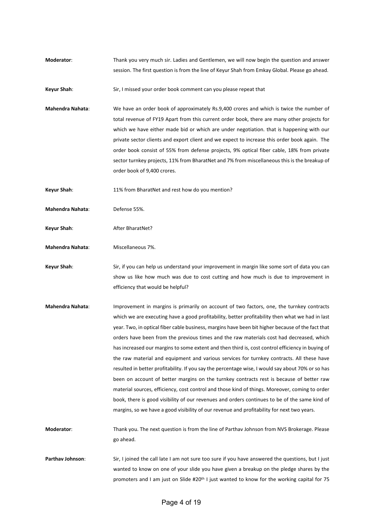**Moderator**: Thank you very much sir. Ladies and Gentlemen, we will now begin the question and answer session. The first question is from the line of Keyur Shah from Emkay Global. Please go ahead.

**Keyur Shah:** Sir, I missed your order book comment can you please repeat that

**Mahendra Nahata**: We have an order book of approximately Rs.9,400 crores and which is twice the number of total revenue of FY19 Apart from this current order book, there are many other projects for which we have either made bid or which are under negotiation. that is happening with our private sector clients and export client and we expect to increase this order book again. The order book consist of 55% from defense projects, 9% optical fiber cable, 18% from private sector turnkey projects, 11% from BharatNet and 7% from miscellaneous this is the breakup of order book of 9,400 crores.

**Keyur Shah**: 11% from BharatNet and rest how do you mention?

**Mahendra Nahata**: Defense 55%.

Keyur Shah: After BharatNet?

**Mahendra Nahata:** Miscellaneous 7%.

**Keyur Shah**: Sir, if you can help us understand your improvement in margin like some sort of data you can show us like how much was due to cost cutting and how much is due to improvement in efficiency that would be helpful?

**Mahendra Nahata**: Improvement in margins is primarily on account of two factors, one, the turnkey contracts which we are executing have a good profitability, better profitability then what we had in last year. Two, in optical fiber cable business, margins have been bit higher because of the fact that orders have been from the previous times and the raw materials cost had decreased, which has increased our margins to some extent and then third is, cost control efficiency in buying of the raw material and equipment and various services for turnkey contracts. All these have resulted in better profitability. If you say the percentage wise, I would say about 70% or so has been on account of better margins on the turnkey contracts rest is because of better raw material sources, efficiency, cost control and those kind of things. Moreover, coming to order book, there is good visibility of our revenues and orders continues to be of the same kind of margins, so we have a good visibility of our revenue and profitability for next two years.

**Moderator**: Thank you. The next question is from the line of Parthav Johnson from NVS Brokerage. Please go ahead.

Parthav Johnson: Sir, I joined the call late I am not sure too sure if you have answered the questions, but I just wanted to know on one of your slide you have given a breakup on the pledge shares by the promoters and I am just on Slide #20th I just wanted to know for the working capital for 75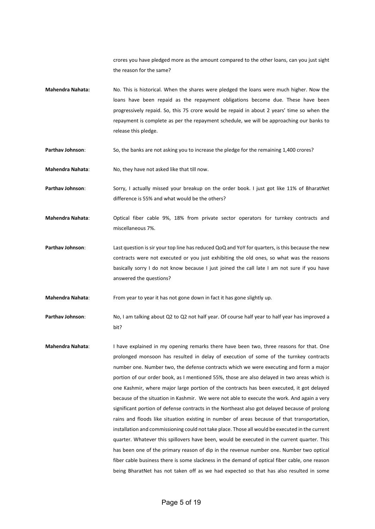crores you have pledged more as the amount compared to the other loans, can you just sight the reason for the same?

**Mahendra Nahata:** No. This is historical. When the shares were pledged the loans were much higher. Now the loans have been repaid as the repayment obligations become due. These have been progressively repaid. So, this 75 crore would be repaid in about 2 years' time so when the repayment is complete as per the repayment schedule, we will be approaching our banks to release this pledge.

Parthav Johnson: So, the banks are not asking you to increase the pledge for the remaining 1,400 crores?

**Mahendra Nahata:** No, they have not asked like that till now.

Parthav Johnson: Sorry, I actually missed your breakup on the order book. I just got like 11% of BharatNet difference is 55% and what would be the others?

**Mahendra Nahata**: Optical fiber cable 9%, 18% from private sector operators for turnkey contracts and miscellaneous 7%.

**Parthav Johnson**: Last question is sir your top line has reduced QoQ and YoY for quarters, is this because the new contracts were not executed or you just exhibiting the old ones, so what was the reasons basically sorry I do not know because I just joined the call late I am not sure if you have answered the questions?

**Mahendra Nahata**: From year to year it has not gone down in fact it has gone slightly up.

**Parthav Johnson**: No, I am talking about Q2 to Q2 not half year. Of course half year to half year has improved a bit?

**Mahendra Nahata**: I have explained in my opening remarks there have been two, three reasons for that. One prolonged monsoon has resulted in delay of execution of some of the turnkey contracts number one. Number two, the defense contracts which we were executing and form a major portion of our order book, as I mentioned 55%, those are also delayed in two areas which is one Kashmir, where major large portion of the contracts has been executed, it got delayed because of the situation in Kashmir. We were not able to execute the work. And again a very significant portion of defense contracts in the Northeast also got delayed because of prolong rains and floods like situation existing in number of areas because of that transportation, installation and commissioning could not take place. Those all would be executed in the current quarter. Whatever this spillovers have been, would be executed in the current quarter. This has been one of the primary reason of dip in the revenue number one. Number two optical fiber cable business there is some slackness in the demand of optical fiber cable, one reason being BharatNet has not taken off as we had expected so that has also resulted in some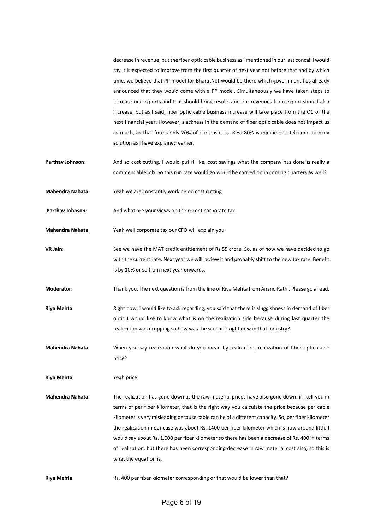decrease in revenue, but the fiber optic cable business as I mentioned in our last concall I would say it is expected to improve from the first quarter of next year not before that and by which time, we believe that PP model for BharatNet would be there which government has already announced that they would come with a PP model. Simultaneously we have taken steps to increase our exports and that should bring results and our revenues from export should also increase, but as I said, fiber optic cable business increase will take place from the Q1 of the next financial year. However, slackness in the demand of fiber optic cable does not impact us as much, as that forms only 20% of our business. Rest 80% is equipment, telecom, turnkey solution as I have explained earlier.

- Parthav Johnson: And so cost cutting, I would put it like, cost savings what the company has done is really a commendable job. So this run rate would go would be carried on in coming quarters as well?
- **Mahendra Nahata**: Yeah we are constantly working on cost cutting.
- Parthav Johnson: And what are your views on the recent corporate tax
- **Mahendra Nahata**: Yeah well corporate tax our CFO will explain you.
- **VR Jain**: See we have the MAT credit entitlement of Rs.55 crore. So, as of now we have decided to go with the current rate. Next year we will review it and probably shift to the new tax rate. Benefit is by 10% or so from next year onwards.
- **Moderator**: Thank you. The next question is from the line of Riya Mehta from Anand Rathi. Please go ahead.
- **Riya Mehta:** Right now, I would like to ask regarding, you said that there is sluggishness in demand of fiber optic I would like to know what is on the realization side because during last quarter the realization was dropping so how was the scenario right now in that industry?
- **Mahendra Nahata**: When you say realization what do you mean by realization, realization of fiber optic cable price?
- **Riya Mehta**: Yeah price.
- **Mahendra Nahata**: The realization has gone down as the raw material prices have also gone down. if I tell you in terms of per fiber kilometer, that is the right way you calculate the price because per cable kilometer is very misleading because cable can be of a different capacity. So, per fiber kilometer the realization in our case was about Rs. 1400 per fiber kilometer which is now around little I would say about Rs. 1,000 per fiber kilometer so there has been a decrease of Rs. 400 in terms of realization, but there has been corresponding decrease in raw material cost also, so this is what the equation is.
- Riya Mehta: Ris. 400 per fiber kilometer corresponding or that would be lower than that?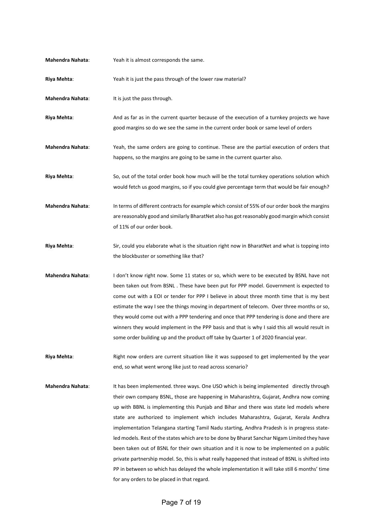| <b>Mahendra Nahata:</b> | Yeah it is almost corresponds the same.                                                                                                                                                                                                                                                                                                                                                                                                                                                                                                                                                                                                                                                                                                                                                                                                                                  |
|-------------------------|--------------------------------------------------------------------------------------------------------------------------------------------------------------------------------------------------------------------------------------------------------------------------------------------------------------------------------------------------------------------------------------------------------------------------------------------------------------------------------------------------------------------------------------------------------------------------------------------------------------------------------------------------------------------------------------------------------------------------------------------------------------------------------------------------------------------------------------------------------------------------|
| Riya Mehta:             | Yeah it is just the pass through of the lower raw material?                                                                                                                                                                                                                                                                                                                                                                                                                                                                                                                                                                                                                                                                                                                                                                                                              |
| Mahendra Nahata:        | It is just the pass through.                                                                                                                                                                                                                                                                                                                                                                                                                                                                                                                                                                                                                                                                                                                                                                                                                                             |
| Riya Mehta:             | And as far as in the current quarter because of the execution of a turnkey projects we have<br>good margins so do we see the same in the current order book or same level of orders                                                                                                                                                                                                                                                                                                                                                                                                                                                                                                                                                                                                                                                                                      |
| Mahendra Nahata:        | Yeah, the same orders are going to continue. These are the partial execution of orders that<br>happens, so the margins are going to be same in the current quarter also.                                                                                                                                                                                                                                                                                                                                                                                                                                                                                                                                                                                                                                                                                                 |
| Riya Mehta:             | So, out of the total order book how much will be the total turnkey operations solution which<br>would fetch us good margins, so if you could give percentage term that would be fair enough?                                                                                                                                                                                                                                                                                                                                                                                                                                                                                                                                                                                                                                                                             |
| <b>Mahendra Nahata:</b> | In terms of different contracts for example which consist of 55% of our order book the margins<br>are reasonably good and similarly BharatNet also has got reasonably good margin which consist<br>of 11% of our order book.                                                                                                                                                                                                                                                                                                                                                                                                                                                                                                                                                                                                                                             |
| Riya Mehta:             | Sir, could you elaborate what is the situation right now in BharatNet and what is topping into<br>the blockbuster or something like that?                                                                                                                                                                                                                                                                                                                                                                                                                                                                                                                                                                                                                                                                                                                                |
| Mahendra Nahata:        | I don't know right now. Some 11 states or so, which were to be executed by BSNL have not<br>been taken out from BSNL. These have been put for PPP model. Government is expected to<br>come out with a EOI or tender for PPP I believe in about three month time that is my best<br>estimate the way I see the things moving in department of telecom. Over three months or so,<br>they would come out with a PPP tendering and once that PPP tendering is done and there are<br>winners they would implement in the PPP basis and that is why I said this all would result in<br>some order building up and the product off take by Quarter 1 of 2020 financial year.                                                                                                                                                                                                    |
| Riya Mehta:             | Right now orders are current situation like it was supposed to get implemented by the year<br>end, so what went wrong like just to read across scenario?                                                                                                                                                                                                                                                                                                                                                                                                                                                                                                                                                                                                                                                                                                                 |
| Mahendra Nahata:        | It has been implemented. three ways. One USO which is being implemented directly through<br>their own company BSNL, those are happening in Maharashtra, Gujarat, Andhra now coming<br>up with BBNL is implementing this Punjab and Bihar and there was state led models where<br>state are authorized to implement which includes Maharashtra, Gujarat, Kerala Andhra<br>implementation Telangana starting Tamil Nadu starting, Andhra Pradesh is in progress state-<br>led models. Rest of the states which are to be done by Bharat Sanchar Nigam Limited they have<br>been taken out of BSNL for their own situation and it is now to be implemented on a public<br>private partnership model. So, this is what really happened that instead of BSNL is shifted into<br>PP in between so which has delayed the whole implementation it will take still 6 months' time |

for any orders to be placed in that regard.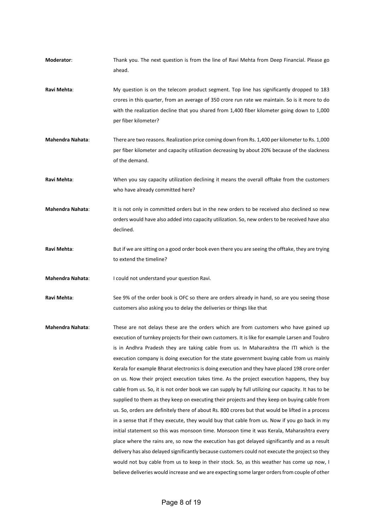**Moderator**: Thank you. The next question is from the line of Ravi Mehta from Deep Financial. Please go ahead. **Ravi Mehta**: My question is on the telecom product segment. Top line has significantly dropped to 183 crores in this quarter, from an average of 350 crore run rate we maintain. So is it more to do with the realization decline that you shared from 1,400 fiber kilometer going down to 1,000 per fiber kilometer? **Mahendra Nahata**: There are two reasons. Realization price coming down from Rs. 1,400 per kilometer to Rs. 1,000 per fiber kilometer and capacity utilization decreasing by about 20% because of the slackness of the demand. **Ravi Mehta**: When you say capacity utilization declining it means the overall offtake from the customers who have already committed here? **Mahendra Nahata**: It is not only in committed orders but in the new orders to be received also declined so new orders would have also added into capacity utilization. So, new orders to be received have also declined. **Ravi Mehta**: But if we are sitting on a good order book even there you are seeing the offtake, they are trying to extend the timeline? **Mahendra Nahata**: I could not understand your question Ravi. Ravi Mehta: See 9% of the order book is OFC so there are orders already in hand, so are you seeing those customers also asking you to delay the deliveries or things like that **Mahendra Nahata**: These are not delays these are the orders which are from customers who have gained up execution of turnkey projects for their own customers. It is like for example Larsen and Toubro is in Andhra Pradesh they are taking cable from us. In Maharashtra the ITI which is the execution company is doing execution for the state government buying cable from us mainly Kerala for example Bharat electronics is doing execution and they have placed 198 crore order on us. Now their project execution takes time. As the project execution happens, they buy cable from us. So, it is not order book we can supply by full utilizing our capacity. It has to be supplied to them as they keep on executing their projects and they keep on buying cable from us. So, orders are definitely there of about Rs. 800 crores but that would be lifted in a process in a sense that if they execute, they would buy that cable from us. Now if you go back in my initial statement so this was monsoon time. Monsoon time it was Kerala, Maharashtra every place where the rains are, so now the execution has got delayed significantly and as a result delivery has also delayed significantly because customers could not execute the project so they

would not buy cable from us to keep in their stock. So, as this weather has come up now, I believe deliveries would increase and we are expecting some larger orders from couple of other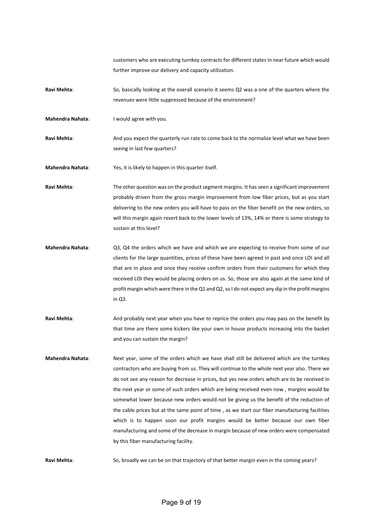customers who are executing turnkey contracts for different states in near future which would further improve our delivery and capacity utilization.

- **Ravi Mehta**: So, basically looking at the overall scenario it seems Q2 was a one of the quarters where the revenues were little suppressed because of the environment?
- **Mahendra Nahata**: I would agree with you.

Ravi Mehta: And you expect the quarterly run rate to come back to the normalize level what we have been seeing in last few quarters?

**Mahendra Nahata**: Yes, it is likely to happen in this quarter itself.

Ravi Mehta: The other question was on the product segment margins. It has seen a significant improvement probably driven from the gross margin improvement from low fiber prices, but as you start delivering to the new orders you will have to pass on the fiber benefit on the new orders, so will this margin again revert back to the lower levels of 13%, 14% or there is some strategy to sustain at this level?

- **Mahendra Nahata**: Q3, Q4 the orders which we have and which we are expecting to receive from some of our clients for the large quantities, prices of these have been agreed in past and once LOI and all that are in place and once they receive confirm orders from their customers for which they received LOI they would be placing orders on us. So, those are also again at the same kind of profit margin which were there in the Q1 and Q2, so I do not expect any dip in the profit margins in Q3.
- **Ravi Mehta**: And probably next year when you have to reprice the orders you may pass on the benefit by that time are there some kickers like your own in house products increasing into the basket and you can sustain the margin?
- **Mahendra Nahata**: Next year, some of the orders which we have shall still be delivered which are the turnkey contractors who are buying from us. They will continue to the whole next year also. There we do not see any reason for decrease in prices, but yes new orders which are to be received in the next year or some of such orders which are being received even now , margins would be somewhat lower because new orders would not be giving us the benefit of the reduction of the cable prices but at the same point of time , as we start our fiber manufacturing facilities which is to happen soon our profit margins would be better because our own fiber manufacturing and some of the decrease in margin because of new orders were compensated by this fiber manufacturing facility.

Ravi Mehta: So, broadly we can be on that trajectory of that better margin even in the coming years?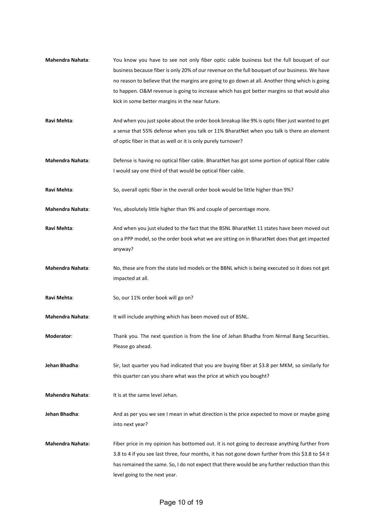- **Mahendra Nahata**: You know you have to see not only fiber optic cable business but the full bouquet of our business because fiber is only 20% of our revenue on the full bouquet of our business. We have no reason to believe that the margins are going to go down at all. Another thing which is going to happen. O&M revenue is going to increase which has got better margins so that would also kick in some better margins in the near future.
- **Ravi Mehta**: And when you just spoke about the order book breakup like 9% is optic fiber just wanted to get a sense that 55% defense when you talk or 11% BharatNet when you talk is there an element of optic fiber in that as well or it is only purely turnover?
- **Mahendra Nahata**: Defense is having no optical fiber cable. BharatNet has got some portion of optical fiber cable I would say one third of that would be optical fiber cable.
- **Ravi Mehta**: So, overall optic fiber in the overall order book would be little higher than 9%?
- **Mahendra Nahata**: Yes, absolutely little higher than 9% and couple of percentage more.
- Ravi Mehta: And when you just eluded to the fact that the BSNL BharatNet 11 states have been moved out on a PPP model, so the order book what we are sitting on in BharatNet does that get impacted anyway?
- **Mahendra Nahata**: No, these are from the state led models or the BBNL which is being executed so it does not get impacted at all.
- **Ravi Mehta**: So, our 11% order book will go on?
- **Mahendra Nahata**: It will include anything which has been moved out of BSNL.
- **Moderator**: Thank you. The next question is from the line of Jehan Bhadha from Nirmal Bang Securities. Please go ahead.
- **Jehan Bhadha**: Sir, last quarter you had indicated that you are buying fiber at \$3.8 per MKM, so similarly for this quarter can you share what was the price at which you bought?
- **Mahendra Nahata:** It is at the same level Jehan.
- **Jehan Bhadha**: And as per you we see I mean in what direction is the price expected to move or maybe going into next year?
- **Mahendra Nahata:** Fiber price in my opinion has bottomed out. it is not going to decrease anything further from 3.8 to 4 if you see last three, four months, it has not gone down further from this \$3.8 to \$4 it has remained the same. So, I do not expect that there would be any further reduction than this level going to the next year.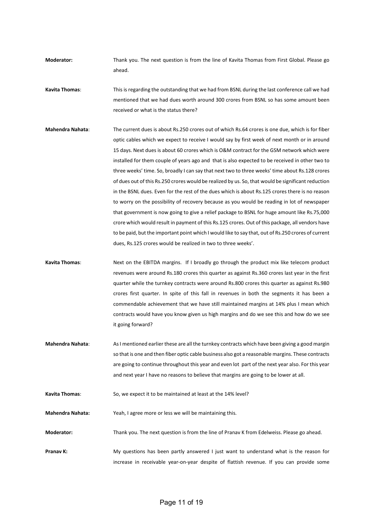**Moderator:** Thank you. The next question is from the line of Kavita Thomas from First Global. Please go ahead.

**Kavita Thomas**: This is regarding the outstanding that we had from BSNL during the last conference call we had mentioned that we had dues worth around 300 crores from BSNL so has some amount been received or what is the status there?

**Mahendra Nahata**: The current dues is about Rs.250 crores out of which Rs.64 crores is one due, which is for fiber optic cables which we expect to receive I would say by first week of next month or in around 15 days. Next dues is about 60 crores which is O&M contract for the GSM network which were installed for them couple of years ago and that is also expected to be received in other two to three weeks' time. So, broadly I can say that next two to three weeks' time about Rs.128 crores of dues out of this Rs.250 crores would be realized by us. So, that would be significant reduction in the BSNL dues. Even for the rest of the dues which is about Rs.125 crores there is no reason to worry on the possibility of recovery because as you would be reading in lot of newspaper that government is now going to give a relief package to BSNL for huge amount like Rs.75,000 crore which would result in payment of this Rs.125 crores. Out of this package, all vendors have to be paid, but the important point which I would like to say that, out of Rs.250 crores of current dues, Rs.125 crores would be realized in two to three weeks'.

**Kavita Thomas**: Next on the EBITDA margins. If I broadly go through the product mix like telecom product revenues were around Rs.180 crores this quarter as against Rs.360 crores last year in the first quarter while the turnkey contracts were around Rs.800 crores this quarter as against Rs.980 crores first quarter. In spite of this fall in revenues in both the segments it has been a commendable achievement that we have still maintained margins at 14% plus I mean which contracts would have you know given us high margins and do we see this and how do we see it going forward?

**Mahendra Nahata**: As I mentioned earlier these are all the turnkey contracts which have been giving a good margin so that is one and then fiber optic cable business also got a reasonable margins. These contracts are going to continue throughout this year and even lot part of the next year also. For this year and next year I have no reasons to believe that margins are going to be lower at all.

**Kavita Thomas**: So, we expect it to be maintained at least at the 14% level?

**Mahendra Nahata:** Yeah, I agree more or less we will be maintaining this.

**Moderator:** Thank you. The next question is from the line of Pranav K from Edelweiss. Please go ahead.

**Pranav K:** My questions has been partly answered I just want to understand what is the reason for increase in receivable year-on-year despite of flattish revenue. If you can provide some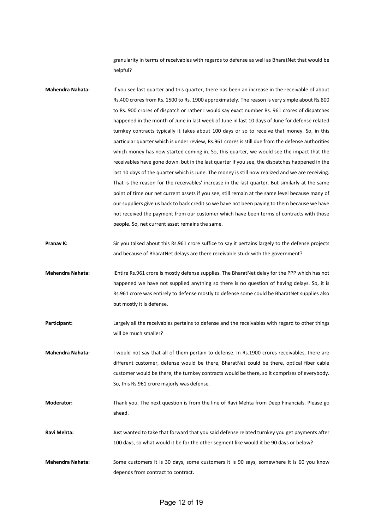granularity in terms of receivables with regards to defense as well as BharatNet that would be helpful?

- **Mahendra Nahata:** If you see last quarter and this quarter, there has been an increase in the receivable of about Rs.400 crores from Rs. 1500 to Rs. 1900 approximately. The reason is very simple about Rs.800 to Rs. 900 crores of dispatch or rather I would say exact number Rs. 961 crores of dispatches happened in the month of June in last week of June in last 10 days of June for defense related turnkey contracts typically it takes about 100 days or so to receive that money. So, in this particular quarter which is under review, Rs.961 crores is still due from the defense authorities which money has now started coming in. So, this quarter, we would see the impact that the receivables have gone down. but in the last quarter if you see, the dispatches happened in the last 10 days of the quarter which is June. The money is still now realized and we are receiving. That is the reason for the receivables' increase in the last quarter. But similarly at the same point of time our net current assets if you see, still remain at the same level because many of our suppliers give us back to back credit so we have not been paying to them because we have not received the payment from our customer which have been terms of contracts with those people. So, net current asset remains the same.
- **Pranav K:** Sir you talked about this Rs.961 crore suffice to say it pertains largely to the defense projects and because of BharatNet delays are there receivable stuck with the government?
- **Mahendra Nahata:** IEntire Rs.961 crore is mostly defense supplies. The BharatNet delay for the PPP which has not happened we have not supplied anything so there is no question of having delays. So, it is Rs.961 crore was entirely to defense mostly to defense some could be BharatNet supplies also but mostly it is defense.
- **Participant:** Largely all the receivables pertains to defense and the receivables with regard to other things will be much smaller?
- **Mahendra Nahata:** I would not say that all of them pertain to defense. In Rs.1900 crores receivables, there are different customer, defense would be there, BharatNet could be there, optical fiber cable customer would be there, the turnkey contracts would be there, so it comprises of everybody. So, this Rs.961 crore majorly was defense.
- **Moderator:** Thank you. The next question is from the line of Ravi Mehta from Deep Financials. Please go ahead.
- **Ravi Mehta:** Just wanted to take that forward that you said defense related turnkey you get payments after 100 days, so what would it be for the other segment like would it be 90 days or below?
- **Mahendra Nahata:** Some customers it is 30 days, some customers it is 90 says, somewhere it is 60 you know depends from contract to contract.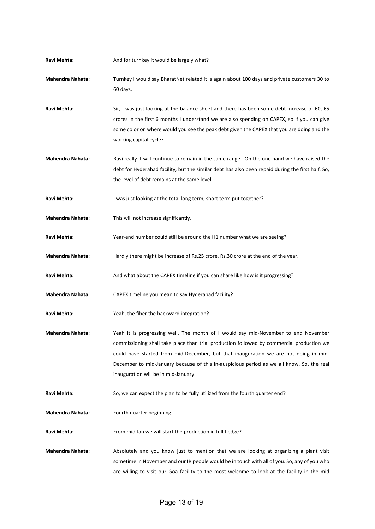- Ravi Mehta: And for turnkey it would be largely what?
- **Mahendra Nahata:** Turnkey I would say BharatNet related it is again about 100 days and private customers 30 to 60 days.
- **Ravi Mehta:** Sir, I was just looking at the balance sheet and there has been some debt increase of 60, 65 crores in the first 6 months I understand we are also spending on CAPEX, so if you can give some color on where would you see the peak debt given the CAPEX that you are doing and the working capital cycle?
- **Mahendra Nahata:** Ravi really it will continue to remain in the same range. On the one hand we have raised the debt for Hyderabad facility, but the similar debt has also been repaid during the first half. So, the level of debt remains at the same level.

Ravi Mehta: I was just looking at the total long term, short term put together?

- **Mahendra Nahata:** This will not increase significantly.
- Ravi Mehta: Year-end number could still be around the H1 number what we are seeing?
- **Mahendra Nahata:** Hardly there might be increase of Rs.25 crore, Rs.30 crore at the end of the year.
- Ravi Mehta: And what about the CAPEX timeline if you can share like how is it progressing?
- **Mahendra Nahata:** CAPEX timeline you mean to say Hyderabad facility?
- **Ravi Mehta:** Yeah, the fiber the backward integration?
- **Mahendra Nahata:** Yeah it is progressing well. The month of I would say mid-November to end November commissioning shall take place than trial production followed by commercial production we could have started from mid-December, but that inauguration we are not doing in mid-December to mid-January because of this in-auspicious period as we all know. So, the real inauguration will be in mid-January.
- **Ravi Mehta:** So, we can expect the plan to be fully utilized from the fourth quarter end?
- **Mahendra Nahata:** Fourth quarter beginning.

Ravi Mehta: From mid Jan we will start the production in full fledge?

**Mahendra Nahata:** Absolutely and you know just to mention that we are looking at organizing a plant visit sometime in November and our IR people would be in touch with all of you. So, any of you who are willing to visit our Goa facility to the most welcome to look at the facility in the mid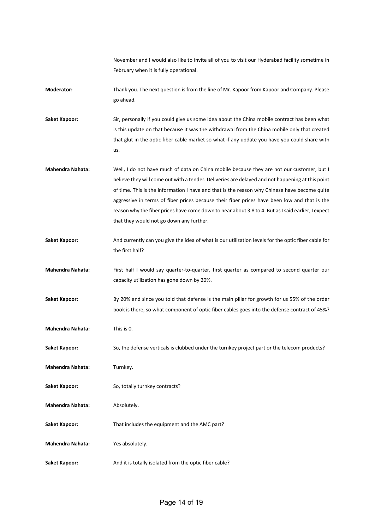November and I would also like to invite all of you to visit our Hyderabad facility sometime in February when it is fully operational.

**Moderator:** Thank you. The next question is from the line of Mr. Kapoor from Kapoor and Company. Please go ahead.

**Saket Kapoor:** Sir, personally if you could give us some idea about the China mobile contract has been what is this update on that because it was the withdrawal from the China mobile only that created that glut in the optic fiber cable market so what if any update you have you could share with us.

**Mahendra Nahata:** Well, I do not have much of data on China mobile because they are not our customer, but I believe they will come out with a tender. Deliveries are delayed and not happening at this point of time. This is the information I have and that is the reason why Chinese have become quite aggressive in terms of fiber prices because their fiber prices have been low and that is the reason why the fiber prices have come down to near about 3.8 to 4. But as I said earlier, I expect that they would not go down any further.

**Saket Kapoor:** And currently can you give the idea of what is our utilization levels for the optic fiber cable for the first half?

**Mahendra Nahata:** First half I would say quarter-to-quarter, first quarter as compared to second quarter our capacity utilization has gone down by 20%.

**Saket Kapoor:** By 20% and since you told that defense is the main pillar for growth for us 55% of the order book is there, so what component of optic fiber cables goes into the defense contract of 45%?

**Mahendra Nahata:** This is 0.

**Saket Kapoor:** So, the defense verticals is clubbed under the turnkey project part or the telecom products?

**Mahendra Nahata:** Turnkey.

Saket Kapoor: So, totally turnkey contracts?

**Mahendra Nahata:** Absolutely.

Saket Kapoor: That includes the equipment and the AMC part?

**Mahendra Nahata:** Yes absolutely.

Saket Kapoor: And it is totally isolated from the optic fiber cable?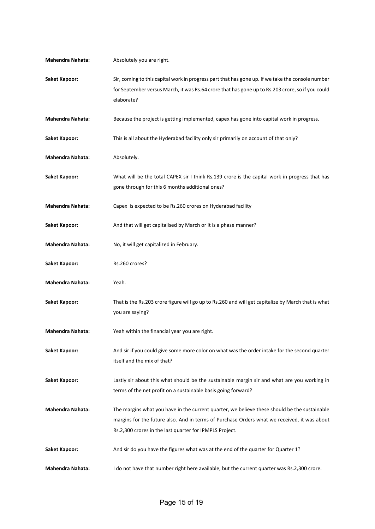| <b>Mahendra Nahata:</b> | Absolutely you are right.                                                                                                                                                                                                                              |
|-------------------------|--------------------------------------------------------------------------------------------------------------------------------------------------------------------------------------------------------------------------------------------------------|
| <b>Saket Kapoor:</b>    | Sir, coming to this capital work in progress part that has gone up. If we take the console number<br>for September versus March, it was Rs.64 crore that has gone up to Rs.203 crore, so if you could<br>elaborate?                                    |
| <b>Mahendra Nahata:</b> | Because the project is getting implemented, capex has gone into capital work in progress.                                                                                                                                                              |
| Saket Kapoor:           | This is all about the Hyderabad facility only sir primarily on account of that only?                                                                                                                                                                   |
| <b>Mahendra Nahata:</b> | Absolutely.                                                                                                                                                                                                                                            |
| <b>Saket Kapoor:</b>    | What will be the total CAPEX sir I think Rs.139 crore is the capital work in progress that has<br>gone through for this 6 months additional ones?                                                                                                      |
| <b>Mahendra Nahata:</b> | Capex is expected to be Rs.260 crores on Hyderabad facility                                                                                                                                                                                            |
| Saket Kapoor:           | And that will get capitalised by March or it is a phase manner?                                                                                                                                                                                        |
| <b>Mahendra Nahata:</b> | No, it will get capitalized in February.                                                                                                                                                                                                               |
| <b>Saket Kapoor:</b>    | Rs.260 crores?                                                                                                                                                                                                                                         |
| Mahendra Nahata:        | Yeah.                                                                                                                                                                                                                                                  |
| <b>Saket Kapoor:</b>    | That is the Rs.203 crore figure will go up to Rs.260 and will get capitalize by March that is what<br>you are saying?                                                                                                                                  |
| <b>Mahendra Nahata:</b> | Yeah within the financial year you are right.                                                                                                                                                                                                          |
| Saket Kapoor:           | And sir if you could give some more color on what was the order intake for the second quarter<br>itself and the mix of that?                                                                                                                           |
| Saket Kapoor:           | Lastly sir about this what should be the sustainable margin sir and what are you working in<br>terms of the net profit on a sustainable basis going forward?                                                                                           |
| <b>Mahendra Nahata:</b> | The margins what you have in the current quarter, we believe these should be the sustainable<br>margins for the future also. And in terms of Purchase Orders what we received, it was about<br>Rs.2,300 crores in the last quarter for IPMPLS Project. |
| Saket Kapoor:           | And sir do you have the figures what was at the end of the quarter for Quarter 1?                                                                                                                                                                      |
| Mahendra Nahata:        | I do not have that number right here available, but the current quarter was Rs.2,300 crore.                                                                                                                                                            |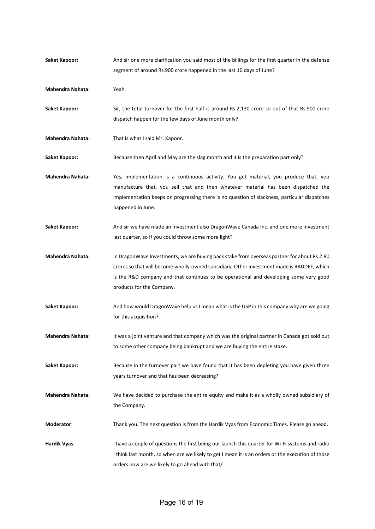| <b>Saket Kapoor:</b>    | And sir one more clarification you said most of the billings for the first quarter in the defense<br>segment of around Rs.900 crore happened in the last 10 days of June?                                                                                                                                       |
|-------------------------|-----------------------------------------------------------------------------------------------------------------------------------------------------------------------------------------------------------------------------------------------------------------------------------------------------------------|
| <b>Mahendra Nahata:</b> | Yeah.                                                                                                                                                                                                                                                                                                           |
| <b>Saket Kapoor:</b>    | Sir, the total turnover for the first half is around Rs.2,130 crore so out of that Rs.900 crore<br>dispatch happen for the few days of June month only?                                                                                                                                                         |
| <b>Mahendra Nahata:</b> | That is what I said Mr. Kapoor.                                                                                                                                                                                                                                                                                 |
| <b>Saket Kapoor:</b>    | Because then April and May are the slag month and it is the preparation part only?                                                                                                                                                                                                                              |
| <b>Mahendra Nahata:</b> | Yes, implementation is a continuous activity. You get material, you produce that, you<br>manufacture that, you sell that and then whatever material has been dispatched the<br>implementation keeps on progressing there is no question of slackness, particular dispatches<br>happened in June.                |
| <b>Saket Kapoor:</b>    | And sir we have made an investment also DragonWave Canada Inc. and one more investment<br>last quarter, so if you could throw some more light?                                                                                                                                                                  |
| <b>Mahendra Nahata:</b> | In DragonWave Investments, we are buying back stake from overseas partner for about Rs.2.80<br>crores so that will become wholly-owned subsidiary. Other investment made is RADDEF, which<br>is the R&D company and that continues to be operational and developing some very good<br>products for the Company. |
| <b>Saket Kapoor:</b>    | And how would DragonWave help us I mean what is the USP in this company why are we going<br>for this acquisition?                                                                                                                                                                                               |
| <b>Mahendra Nahata:</b> | It was a joint venture and that company which was the original partner in Canada got sold out<br>to some other company being bankrupt and we are buying the entire stake.                                                                                                                                       |
| <b>Saket Kapoor:</b>    | Because in the turnover part we have found that it has been depleting you have given three<br>years turnover and that has been decreasing?                                                                                                                                                                      |
| <b>Mahendra Nahata:</b> | We have decided to purchase the entire equity and make it as a wholly owned subsidiary of<br>the Company.                                                                                                                                                                                                       |
| Moderator:              | Thank you. The next question is from the Hardik Vyas from Economic Times. Please go ahead.                                                                                                                                                                                                                      |
| Hardik Vyas:            | I have a couple of questions the first being our launch this quarter for Wi-Fi systems and radio<br>I think last month, so when are we likely to get I mean it is an orders or the execution of those<br>orders how are we likely to go ahead with that/                                                        |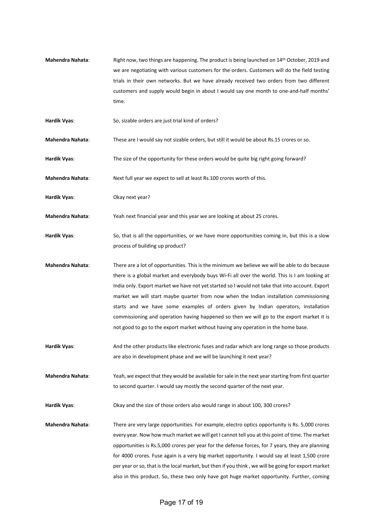- **Mahendra Nahata**: Right now, two things are happening. The product is being launched on 14th October, 2019 and we are negotiating with various customers for the orders. Customers will do the field testing trials in their own networks. But we have already received two orders from two different customers and supply would begin in about I would say one month to one-and-half months' time.
- **Hardik Vyas**: So, sizable orders are just trial kind of orders?
- **Mahendra Nahata**: These are I would say not sizable orders, but still it would be about Rs.15 crores or so.
- **Hardik Vyas**: The size of the opportunity for these orders would be quite big right going forward?
- **Mahendra Nahata:** Next full year we expect to sell at least Rs.100 crores worth of this.
- **Hardik Vyas**: Okay next year?
- **Mahendra Nahata**: Yeah next financial year and this year we are looking at about 25 crores.
- **Hardik Vyas**: So, that is all the opportunities, or we have more opportunities coming in, but this is a slow process of building up product?
- **Mahendra Nahata**: There are a lot of opportunities. This is the minimum we believe we will be able to do because there is a global market and everybody buys Wi-Fi all over the world. This is I am looking at India only. Export market we have not yet started so I would not take that into account. Export market we will start maybe quarter from now when the Indian installation commissioning starts and we have some examples of orders given by Indian operators, installation commissioning and operation having happened so then we will go to the export market it is not good to go to the export market without having any operation in the home base.
- **Hardik Vyas**: And the other products like electronic fuses and radar which are long range so those products are also in development phase and we will be launching it next year?
- **Mahendra Nahata**: Yeah, we expect that they would be available for sale in the next year starting from first quarter to second quarter. I would say mostly the second quarter of the next year.
- **Hardik Vyas**: Okay and the size of those orders also would range in about 100, 300 crores?
- **Mahendra Nahata**: There are very large opportunities. For example, electro optics opportunity is Rs. 5,000 crores every year. Now how much market we will get I cannot tell you at this point of time. The market opportunities is Rs.5,000 crores per year for the defense forces, for 7 years, they are planning for 4000 crores. Fuse again is a very big market opportunity. I would say at least 1,500 crore per year or so, that is the local market, but then if you think , we will be going for export market also in this product. So, these two only have got huge market opportunity. Further, coming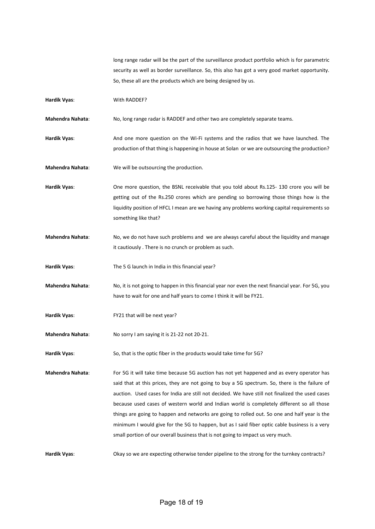long range radar will be the part of the surveillance product portfolio which is for parametric security as well as border surveillance. So, this also has got a very good market opportunity. So, these all are the products which are being designed by us.

**Hardik Vyas:** With RADDEF?

**Mahendra Nahata**: No, long range radar is RADDEF and other two are completely separate teams.

**Hardik Vyas**: And one more question on the Wi-Fi systems and the radios that we have launched. The production of that thing is happening in house at Solan or we are outsourcing the production?

**Mahendra Nahata**: We will be outsourcing the production.

**Hardik Vyas**: One more question, the BSNL receivable that you told about Rs.125- 130 crore you will be getting out of the Rs.250 crores which are pending so borrowing those things how is the liquidity position of HFCL I mean are we having any problems working capital requirements so something like that?

**Mahendra Nahata**: No, we do not have such problems and we are always careful about the liquidity and manage it cautiously . There is no crunch or problem as such.

**Hardik Vyas**: The 5 G launch in India in this financial year?

**Mahendra Nahata**: No, it is not going to happen in this financial year nor even the next financial year. For 5G, you have to wait for one and half years to come I think it will be FY21.

**Hardik Vyas**: FY21 that will be next year?

**Mahendra Nahata**: No sorry I am saying it is 21-22 not 20-21.

Hardik Vyas: So, that is the optic fiber in the products would take time for 5G?

**Mahendra Nahata**: For 5G it will take time because 5G auction has not yet happened and as every operator has said that at this prices, they are not going to buy a 5G spectrum. So, there is the failure of auction. Used cases for India are still not decided. We have still not finalized the used cases because used cases of western world and Indian world is completely different so all those things are going to happen and networks are going to rolled out. So one and half year is the minimum I would give for the 5G to happen, but as I said fiber optic cable business is a very small portion of our overall business that is not going to impact us very much.

**Hardik Vyas**: Okay so we are expecting otherwise tender pipeline to the strong for the turnkey contracts?